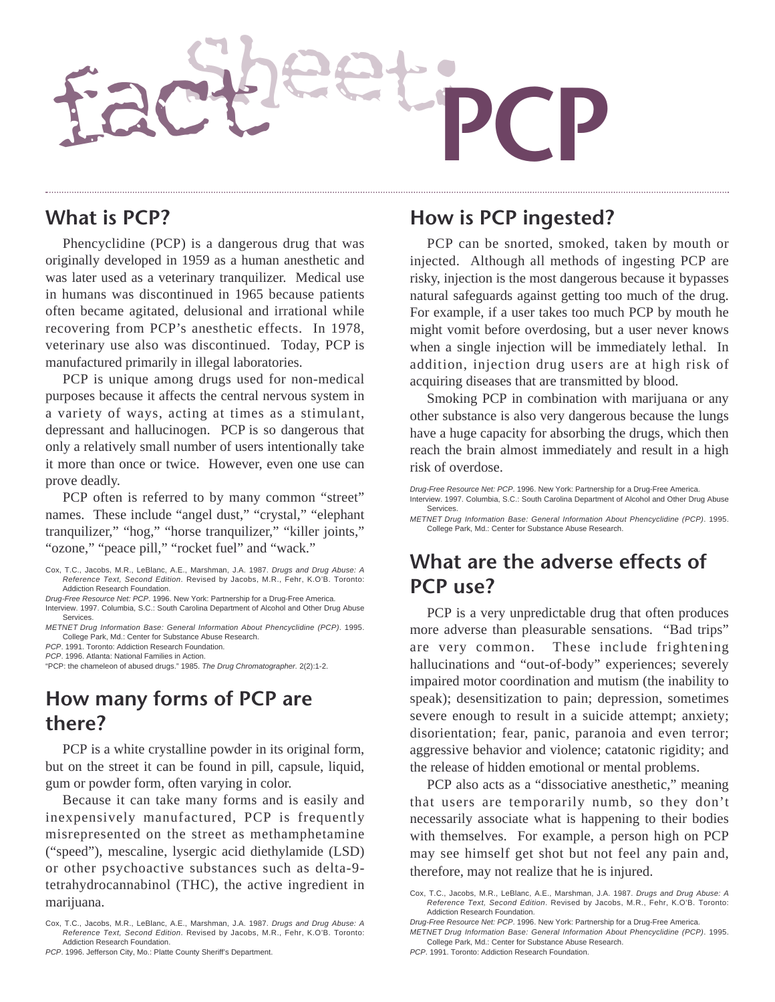

#### **What is PCP?**

Phencyclidine (PCP) is a dangerous drug that was originally developed in 1959 as a human anesthetic and was later used as a veterinary tranquilizer. Medical use in humans was discontinued in 1965 because patients often became agitated, delusional and irrational while recovering from PCP's anesthetic effects. In 1978, veterinary use also was discontinued. Today, PCP is manufactured primarily in illegal laboratories.

PCP is unique among drugs used for non-medical purposes because it affects the central nervous system in a variety of ways, acting at times as a stimulant, depressant and hallucinogen. PCP is so dangerous that only a relatively small number of users intentionally take it more than once or twice. However, even one use can prove deadly.

PCP often is referred to by many common "street" names. These include "angel dust," "crystal," "elephant tranquilizer," "hog," "horse tranquilizer," "killer joints," "ozone," "peace pill," "rocket fuel" and "wack."

### **How many forms of PCP are there?**

PCP is a white crystalline powder in its original form, but on the street it can be found in pill, capsule, liquid, gum or powder form, often varying in color.

Because it can take many forms and is easily and inexpensively manufactured, PCP is frequently misrepresented on the street as methamphetamine ("speed"), mescaline, lysergic acid diethylamide (LSD) or other psychoactive substances such as delta-9 tetrahydrocannabinol (THC), the active ingredient in marijuana.

#### **How is PCP ingested?**

PCP can be snorted, smoked, taken by mouth or injected. Although all methods of ingesting PCP are risky, injection is the most dangerous because it bypasses natural safeguards against getting too much of the drug. For example, if a user takes too much PCP by mouth he might vomit before overdosing, but a user never knows when a single injection will be immediately lethal. In addition, injection drug users are at high risk of acquiring diseases that are transmitted by blood.

Smoking PCP in combination with marijuana or any other substance is also very dangerous because the lungs have a huge capacity for absorbing the drugs, which then reach the brain almost immediately and result in a high risk of overdose.

Drug-Free Resource Net: PCP. 1996. New York: Partnership for a Drug-Free America. Interview. 1997. Columbia, S.C.: South Carolina Department of Alcohol and Other Drug Abuse Services.

METNET Drug Information Base: General Information About Phencyclidine (PCP). 1995. College Park, Md.: Center for Substance Abuse Research.

# **What are the adverse effects of PCP use?**

PCP is a very unpredictable drug that often produces more adverse than pleasurable sensations. "Bad trips" are very common. These include frightening hallucinations and "out-of-body" experiences; severely impaired motor coordination and mutism (the inability to speak); desensitization to pain; depression, sometimes severe enough to result in a suicide attempt; anxiety; disorientation; fear, panic, paranoia and even terror; aggressive behavior and violence; catatonic rigidity; and the release of hidden emotional or mental problems.

PCP also acts as a "dissociative anesthetic," meaning that users are temporarily numb, so they don't necessarily associate what is happening to their bodies with themselves. For example, a person high on PCP may see himself get shot but not feel any pain and, therefore, may not realize that he is injured.

Cox, T.C., Jacobs, M.R., LeBlanc, A.E., Marshman, J.A. 1987. Drugs and Drug Abuse: A Reference Text, Second Edition. Revised by Jacobs, M.R., Fehr, K.O'B. Toronto: Addiction Research Foundation.

Cox, T.C., Jacobs, M.R., LeBlanc, A.E., Marshman, J.A. 1987. Drugs and Drug Abuse: A Reference Text, Second Edition. Revised by Jacobs, M.R., Fehr, K.O'B. Toronto: Addiction Research Foundation.

Drug-Free Resource Net: PCP. 1996. New York: Partnership for a Drug-Free America.

Interview. 1997. Columbia, S.C.: South Carolina Department of Alcohol and Other Drug Abuse Services.

METNET Drug Information Base: General Information About Phencyclidine (PCP). 1995. College Park, Md.: Center for Substance Abuse Research.

PCP. 1991. Toronto: Addiction Research Foundation.

PCP. 1996. Atlanta: National Families in Action. "PCP: the chameleon of abused drugs." 1985. The Drug Chromatographer. 2(2):1-2.

Cox, T.C., Jacobs, M.R., LeBlanc, A.E., Marshman, J.A. 1987. Drugs and Drug Abuse: A. Reference Text, Second Edition. Revised by Jacobs, M.R., Fehr, K.O'B. Toronto: Addiction Research Foundation.

PCP. 1996. Jefferson City, Mo.: Platte County Sheriff's Department.

Drug-Free Resource Net: PCP. 1996. New York: Partnership for a Drug-Free America.

METNET Drug Information Base: General Information About Phencyclidine (PCP). 1995. College Park, Md.: Center for Substance Abuse Research.

PCP. 1991. Toronto: Addiction Research Foundation.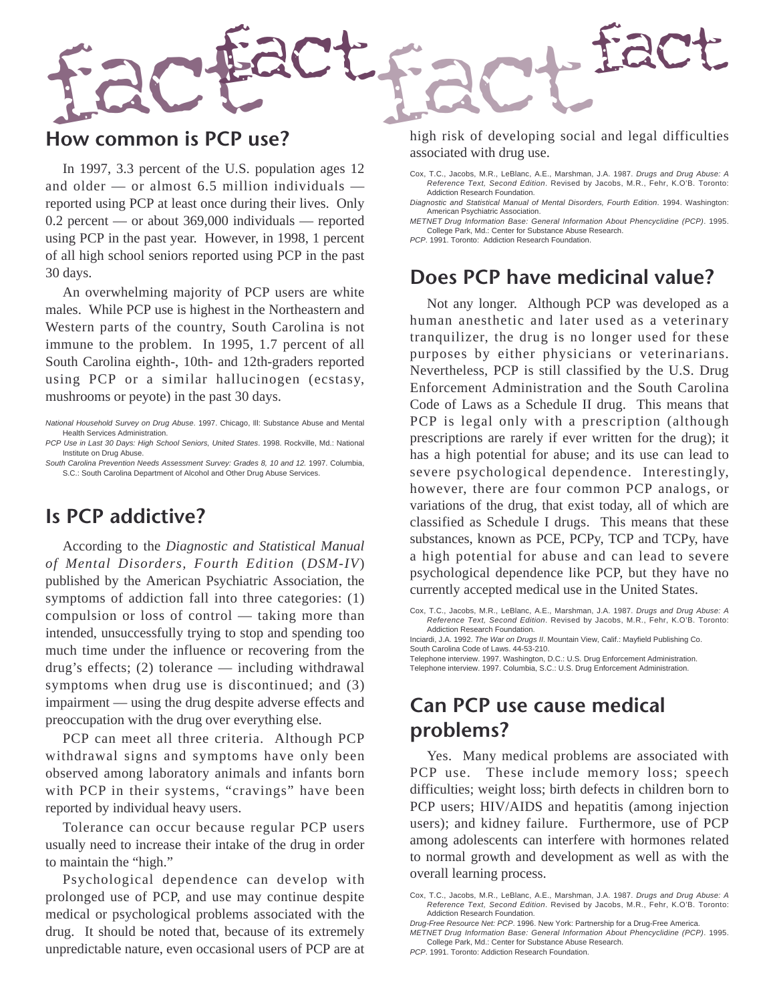

#### **How common is PCP use?**

In 1997, 3.3 percent of the U.S. population ages 12 and older — or almost 6.5 million individuals reported using PCP at least once during their lives. Only 0.2 percent — or about 369,000 individuals — reported using PCP in the past year. However, in 1998, 1 percent of all high school seniors reported using PCP in the past 30 days.

An overwhelming majority of PCP users are white males. While PCP use is highest in the Northeastern and Western parts of the country, South Carolina is not immune to the problem. In 1995, 1.7 percent of all South Carolina eighth-, 10th- and 12th-graders reported using PCP or a similar hallucinogen (ecstasy, mushrooms or peyote) in the past 30 days.

#### **Is PCP addictive?**

According to the *Diagnostic and Statistical Manual of Mental Disorders, Fourth Edition* (*DSM-IV*) published by the American Psychiatric Association, the symptoms of addiction fall into three categories: (1) compulsion or loss of control — taking more than intended, unsuccessfully trying to stop and spending too much time under the influence or recovering from the drug's effects; (2) tolerance — including withdrawal symptoms when drug use is discontinued; and (3) impairment — using the drug despite adverse effects and preoccupation with the drug over everything else.

PCP can meet all three criteria. Although PCP withdrawal signs and symptoms have only been observed among laboratory animals and infants born with PCP in their systems, "cravings" have been reported by individual heavy users.

Tolerance can occur because regular PCP users usually need to increase their intake of the drug in order to maintain the "high."

Psychological dependence can develop with prolonged use of PCP, and use may continue despite medical or psychological problems associated with the drug. It should be noted that, because of its extremely unpredictable nature, even occasional users of PCP are at high risk of developing social and legal difficulties associated with drug use.

Cox, T.C., Jacobs, M.R., LeBlanc, A.E., Marshman, J.A. 1987. Drugs and Drug Abuse: A Reference Text, Second Edition. Revised by Jacobs, M.R., Fehr, K.O'B. Toronto: Addiction Research Foundation.

Diagnostic and Statistical Manual of Mental Disorders, Fourth Edition. 1994. Washington: American Psychiatric Association.

METNET Drug Information Base: General Information About Phencyclidine (PCP). 1995. College Park, Md.: Center for Substance Abuse Research.

PCP. 1991. Toronto: Addiction Research Foundation

## **Does PCP have medicinal value?**

Not any longer. Although PCP was developed as a human anesthetic and later used as a veterinary tranquilizer, the drug is no longer used for these purposes by either physicians or veterinarians. Nevertheless, PCP is still classified by the U.S. Drug Enforcement Administration and the South Carolina Code of Laws as a Schedule II drug. This means that PCP is legal only with a prescription (although prescriptions are rarely if ever written for the drug); it has a high potential for abuse; and its use can lead to severe psychological dependence. Interestingly, however, there are four common PCP analogs, or variations of the drug, that exist today, all of which are classified as Schedule I drugs. This means that these substances, known as PCE, PCPy, TCP and TCPy, have a high potential for abuse and can lead to severe psychological dependence like PCP, but they have no currently accepted medical use in the United States.

Cox, T.C., Jacobs, M.R., LeBlanc, A.E., Marshman, J.A. 1987. Drugs and Drug Abuse: A Reference Text, Second Edition. Revised by Jacobs, M.R., Fehr, K.O'B. Toronto: Addiction Research Foundation.

Inciardi, J.A. 1992. The War on Drugs II. Mountain View, Calif.: Mayfield Publishing Co. South Carolina Code of Laws. 44-53-210.

Telephone interview. 1997. Washington, D.C.: U.S. Drug Enforcement Administration. Telephone interview. 1997. Columbia, S.C.: U.S. Drug Enforcement Administration.

# **Can PCP use cause medical problems?**

Yes. Many medical problems are associated with PCP use. These include memory loss; speech difficulties; weight loss; birth defects in children born to PCP users; HIV/AIDS and hepatitis (among injection users); and kidney failure. Furthermore, use of PCP among adolescents can interfere with hormones related to normal growth and development as well as with the overall learning process.

Cox, T.C., Jacobs, M.R., LeBlanc, A.E., Marshman, J.A. 1987. Drugs and Drug Abuse: A Reference Text, Second Edition. Revised by Jacobs, M.R., Fehr, K.O'B. Toronto: Addiction Research Foundation.

METNET Drug Information Base: General Information About Phencyclidine (PCP). 1995. College Park, Md.: Center for Substance Abuse Research.

PCP. 1991. Toronto: Addiction Research Foundation.

National Household Survey on Drug Abuse. 1997. Chicago, Ill: Substance Abuse and Mental Health Services Administration.

PCP Use in Last 30 Days: High School Seniors, United States. 1998. Rockville, Md.: National Institute on Drug Abuse.

South Carolina Prevention Needs Assessment Survey: Grades 8, 10 and 12. 1997. Columbia, S.C.: South Carolina Department of Alcohol and Other Drug Abuse Services.

Drug-Free Resource Net: PCP. 1996. New York: Partnership for a Drug-Free America.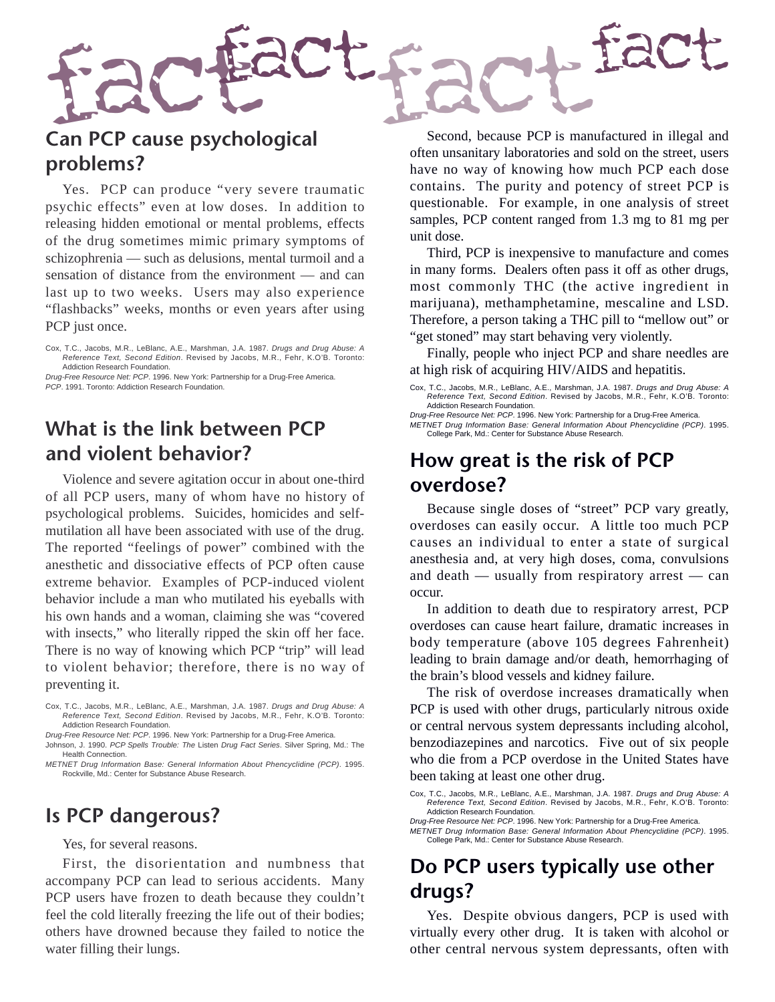

# **Can PCP cause psychological problems?**

Yes. PCP can produce "very severe traumatic psychic effects" even at low doses. In addition to releasing hidden emotional or mental problems, effects of the drug sometimes mimic primary symptoms of schizophrenia — such as delusions, mental turmoil and a sensation of distance from the environment — and can last up to two weeks. Users may also experience "flashbacks" weeks, months or even years after using PCP just once.

Drug-Free Resource Net: PCP. 1996. New York: Partnership for a Drug-Free America. PCP. 1991. Toronto: Addiction Research Foundation.

# **What is the link between PCP and violent behavior?**

Violence and severe agitation occur in about one-third of all PCP users, many of whom have no history of psychological problems. Suicides, homicides and selfmutilation all have been associated with use of the drug. The reported "feelings of power" combined with the anesthetic and dissociative effects of PCP often cause extreme behavior. Examples of PCP-induced violent behavior include a man who mutilated his eyeballs with his own hands and a woman, claiming she was "covered with insects," who literally ripped the skin off her face. There is no way of knowing which PCP "trip" will lead to violent behavior; therefore, there is no way of preventing it.

Cox, T.C., Jacobs, M.R., LeBlanc, A.E., Marshman, J.A. 1987. Drugs and Drug Abuse: A Reference Text, Second Edition. Revised by Jacobs, M.R., Fehr, K.O'B. Toronto: Addiction Research Foundation.

Drug-Free Resource Net: PCP. 1996. New York: Partnership for a Drug-Free America. Johnson, J. 1990. PCP Spells Trouble: The Listen Drug Fact Series. Silver Spring, Md.: The

Health Connection. METNET Drug Information Base: General Information About Phencyclidine (PCP). 1995. Rockville, Md.: Center for Substance Abuse Research.

#### **Is PCP dangerous?**

Yes, for several reasons.

First, the disorientation and numbness that accompany PCP can lead to serious accidents. Many PCP users have frozen to death because they couldn't feel the cold literally freezing the life out of their bodies; others have drowned because they failed to notice the water filling their lungs.

Second, because PCP is manufactured in illegal and often unsanitary laboratories and sold on the street, users have no way of knowing how much PCP each dose contains. The purity and potency of street PCP is questionable. For example, in one analysis of street samples, PCP content ranged from 1.3 mg to 81 mg per unit dose.

Third, PCP is inexpensive to manufacture and comes in many forms. Dealers often pass it off as other drugs, most commonly THC (the active ingredient in marijuana), methamphetamine, mescaline and LSD. Therefore, a person taking a THC pill to "mellow out" or "get stoned" may start behaving very violently.

Finally, people who inject PCP and share needles are at high risk of acquiring HIV/AIDS and hepatitis.

Cox, T.C., Jacobs, M.R., LeBlanc, A.E., Marshman, J.A. 1987. Drugs and Drug Abuse: A Reference Text, Second Edition. Revised by Jacobs, M.R., Fehr, K.O'B. Toronto: Addiction Research Foundation.

Drug-Free Resource Net: PCP. 1996. New York: Partnership for a Drug-Free America. METNET Drug Information Base: General Information About Phencyclidine (PCP). 1995. College Park, Md.: Center for Substance Abuse Research.

# **How great is the risk of PCP overdose?**

Because single doses of "street" PCP vary greatly, overdoses can easily occur. A little too much PCP causes an individual to enter a state of surgical anesthesia and, at very high doses, coma, convulsions and death — usually from respiratory arrest — can occur.

In addition to death due to respiratory arrest, PCP overdoses can cause heart failure, dramatic increases in body temperature (above 105 degrees Fahrenheit) leading to brain damage and/or death, hemorrhaging of the brain's blood vessels and kidney failure.

The risk of overdose increases dramatically when PCP is used with other drugs, particularly nitrous oxide or central nervous system depressants including alcohol, benzodiazepines and narcotics. Five out of six people who die from a PCP overdose in the United States have been taking at least one other drug.

Cox, T.C., Jacobs, M.R., LeBlanc, A.E., Marshman, J.A. 1987. Drugs and Drug Abuse: A Reference Text, Second Edition. Revised by Jacobs, M.R., Fehr, K.O'B. Toronto: Addiction Research Foundation.

Drug-Free Resource Net: PCP. 1996. New York: Partnership for a Drug-Free America.

METNET Drug Information Base: General Information About Phencyclidine (PCP). 1995. College Park, Md.: Center for Substance Abuse Research.

#### **Do PCP users typically use other drugs?**

Yes. Despite obvious dangers, PCP is used with virtually every other drug. It is taken with alcohol or other central nervous system depressants, often with

Cox, T.C., Jacobs, M.R., LeBlanc, A.E., Marshman, J.A. 1987. Drugs and Drug Abuse: A Reference Text, Second Edition. Revised by Jacobs, M.R., Fehr, K.O'B. Toronto: Addiction Research Foundation.